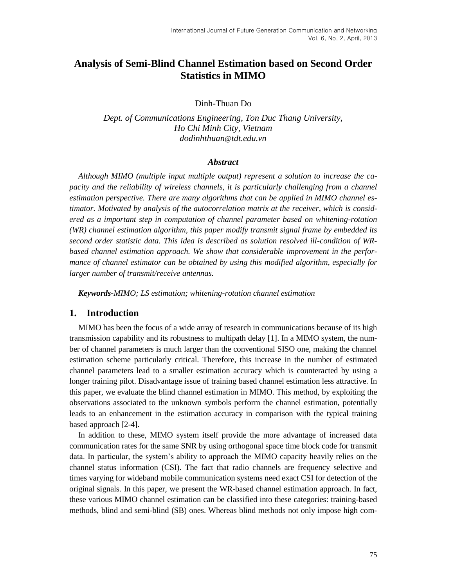# **Analysis of Semi-Blind Channel Estimation based on Second Order Statistics in MIMO**

Dinh-Thuan Do

*Dept. of Communications Engineering, Ton Duc Thang University, Ho Chi Minh City, Vietnam dodinhthuan*@*tdt.edu.vn*

#### *Abstract*

*Although MIMO (multiple input multiple output) represent a solution to increase the capacity and the reliability of wireless channels, it is particularly challenging from a channel estimation perspective. There are many algorithms that can be applied in MIMO channel estimator. Motivated by analysis of the autocorrelation matrix at the receiver, which is considered as a important step in computation of channel parameter based on whitening-rotation (WR) channel estimation algorithm, this paper modify transmit signal frame by embedded its second order statistic data. This idea is described as solution resolved ill-condition of WRbased channel estimation approach. We show that considerable improvement in the performance of channel estimator can be obtained by using this modified algorithm, especially for larger number of transmit/receive antennas.* 

*Keywords-MIMO; LS estimation; whitening-rotation channel estimation*

# **1. Introduction**

MIMO has been the focus of a wide array of research in communications because of its high transmission capability and its robustness to multipath delay [1]. In a MIMO system, the number of channel parameters is much larger than the conventional SISO one, making the channel estimation scheme particularly critical. Therefore, this increase in the number of estimated channel parameters lead to a smaller estimation accuracy which is counteracted by using a longer training pilot. Disadvantage issue of training based channel estimation less attractive. In this paper, we evaluate the blind channel estimation in MIMO. This method, by exploiting the observations associated to the unknown symbols perform the channel estimation, potentially leads to an enhancement in the estimation accuracy in comparison with the typical training based approach [2-4].

In addition to these, MIMO system itself provide the more advantage of increased data communication rates for the same SNR by using orthogonal space time block code for transmit data. In particular, the system's ability to approach the MIMO capacity heavily relies on the channel status information (CSI). The fact that radio channels are frequency selective and times varying for wideband mobile communication systems need exact CSI for detection of the original signals. In this paper, we present the WR-based channel estimation approach. In fact, these various MIMO channel estimation can be classified into these categories: training-based methods, blind and semi-blind (SB) ones. Whereas blind methods not only impose high com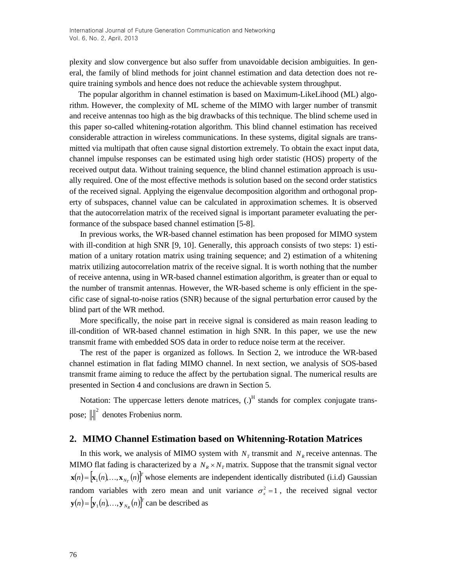plexity and slow convergence but also suffer from unavoidable decision ambiguities. In general, the family of blind methods for joint channel estimation and data detection does not require training symbols and hence does not reduce the achievable system throughput.

The popular algorithm in channel estimation is based on Maximum-LikeLihood (ML) algorithm. However, the complexity of ML scheme of the MIMO with larger number of transmit and receive antennas too high as the big drawbacks of this technique. The blind scheme used in this paper so-called whitening-rotation algorithm. This blind channel estimation has received considerable attraction in wireless communications. In these systems, digital signals are transmitted via multipath that often cause signal distortion extremely. To obtain the exact input data, channel impulse responses can be estimated using high order statistic (HOS) property of the received output data. Without training sequence, the blind channel estimation approach is usually required. One of the most effective methods is solution based on the second order statistics of the received signal. Applying the eigenvalue decomposition algorithm and orthogonal property of subspaces, channel value can be calculated in approximation schemes. It is observed that the autocorrelation matrix of the received signal is important parameter evaluating the performance of the subspace based channel estimation [5-8].

In previous works, the WR-based channel estimation has been proposed for MIMO system with ill-condition at high SNR [9, 10]. Generally, this approach consists of two steps: 1) estimation of a unitary rotation matrix using training sequence; and 2) estimation of a whitening matrix utilizing autocorrelation matrix of the receive signal. It is worth nothing that the number of receive antenna, using in WR-based channel estimation algorithm, is greater than or equal to the number of transmit antennas. However, the WR-based scheme is only efficient in the specific case of signal-to-noise ratios (SNR) because of the signal perturbation error caused by the blind part of the WR method.

More specifically, the noise part in receive signal is considered as main reason leading to ill-condition of WR-based channel estimation in high SNR. In this paper, we use the new transmit frame with embedded SOS data in order to reduce noise term at the receiver.

The rest of the paper is organized as follows. In Section 2, we introduce the WR-based channel estimation in flat fading MIMO channel. In next section, we analysis of SOS-based transmit frame aiming to reduce the affect by the pertubation signal. The numerical results are presented in Section 4 and conclusions are drawn in Section 5.

Notation: The uppercase letters denote matrices,  $(.)<sup>H</sup>$  stands for complex conjugate transpose;  $\left\| \cdot \right\|^2$  denotes Frobenius norm.

## **2. MIMO Channel Estimation based on Whitenning-Rotation Matrices**

In this work, we analysis of MIMO system with  $N_T$  transmit and  $N_R$  receive antennas. The MIMO flat fading is characterized by a  $N_R \times N_T$  matrix. Suppose that the transmit signal vector  $\mathbf{x}(n) = [\mathbf{x}_1(n), ..., \mathbf{x}_{N_T}(n)]^T$  whose elements are independent identically distributed (i.i.d) Gaussian random variables with zero mean and unit variance  $\sigma_x^2 = 1$ , the received signal vector  $\mathbf{y}(n) = [\mathbf{y}_1(n), ..., \mathbf{y}_{N_R}(n)]^T$  can be described as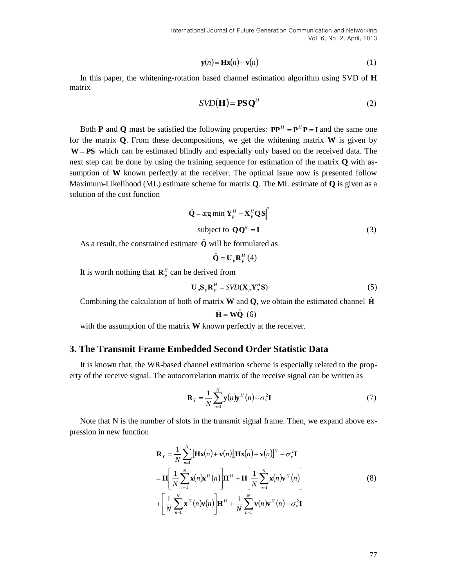$$
\mathbf{y}(n) = \mathbf{H}\mathbf{x}(n) + \mathbf{v}(n) \tag{1}
$$

In this paper, the whitening-rotation based channel estimation algorithm using SVD of **H** matrix

$$
SVD(\mathbf{H}) = \mathbf{PSQ}^H
$$
 (2)

**(1)** based channel estimation algorithm using SVD of **H**<br>
based channel estimation algorithm using SVD of **H**<br>
SVD(**H**) = **PS Q<sup>tt</sup>** channel estimation algorithm using SVD of **H**<br>
sight which is given by<br>
sighthos, we Both **P** and **Q** must be satisfied the following properties:  $PP^H = P^H P = I$  and the same one for the matrix **Q**. From these decompositions, we get the whitening matrix **W** is given by **W** = **PS** which can be estimated blindly and especially only based on the received data. The next step can be done by using the training sequence for estimation of the matrix **Q** with assumption of **W** known perfectly at the receiver. The optimal issue now is presented follow Maximum-Likelihood (ML) estimate scheme for matrix **Q**. The ML estimate of **Q** is given as a solution of the cost function

$$
\hat{\mathbf{Q}} = \arg \min \left\| \mathbf{Y}_p^H - \mathbf{X}_p^H \mathbf{Q} \mathbf{S} \right\|^2
$$
  
subject to  $\mathbf{Q} \mathbf{Q}^H = \mathbf{I}$  (3)

As a result, the constrained estimate  $\hat{\mathbf{Q}}$  will be formulated as

$$
\hat{\mathbf{Q}} = \mathbf{U}_p \mathbf{R}_p^H \left( 4 \right)
$$

It is worth nothing that  $\mathbf{R}_p^H$  can be derived from

$$
\mathbf{U}_p \mathbf{S}_p \mathbf{R}_p^H = SVD(\mathbf{X}_p \mathbf{Y}_p^H \mathbf{S})
$$
\n(5)

Combining the calculation of both of matrix **W** and **Q**, we obtain the estimated channel  $\hat{H}$ 

$$
\hat{\mathbf{H}} = \mathbf{W}\hat{\mathbf{Q}} \ (6)
$$

with the assumption of the matrix **W** known perfectly at the receiver.

# **3. The Transmit Frame Embedded Second Order Statistic Data**

It is known that, the WR-based channel estimation scheme is especially related to the property of the receive signal. The autocorrelation matrix of the receive signal can be written as

$$
\mathbf{R}_{Y} = \frac{1}{N} \sum_{n=1}^{N} \mathbf{y}(n) \mathbf{y}^{H}(n) - \sigma_{Y}^{2} \mathbf{I}
$$
 (7)

Note that N is the number of slots in the transmit signal frame. Then, we expand above expression in new function

$$
\mathbf{R}_{Y} = \frac{1}{N} \sum_{n=1}^{N} [\mathbf{H} \mathbf{x}(n) + \mathbf{v}(n)][\mathbf{H} \mathbf{x}(n) + \mathbf{v}(n)]^{H} - \sigma_{v}^{2} \mathbf{I}
$$
  
\n
$$
= \mathbf{H} \left[ \frac{1}{N} \sum_{n=1}^{N} \mathbf{x}(n) \mathbf{x}^{H}(n) \right] \mathbf{H}^{H} + \mathbf{H} \left[ \frac{1}{N} \sum_{n=1}^{N} \mathbf{x}(n) \mathbf{v}^{H}(n) \right]
$$
  
\n
$$
+ \left[ \frac{1}{N} \sum_{n=1}^{N} \mathbf{x}^{H}(n) \mathbf{v}(n) \right] \mathbf{H}^{H} + \frac{1}{N} \sum_{n=1}^{N} \mathbf{v}(n) \mathbf{v}^{H}(n) - \sigma_{v}^{2} \mathbf{I}
$$
 (8)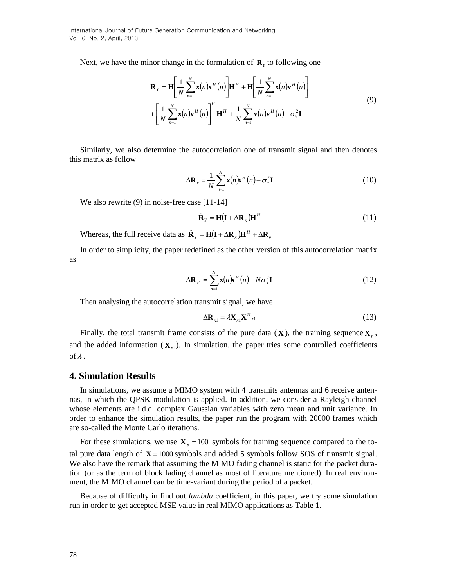International Journal of Future Generation Communication and Networking Vol. 6, No. 2, April, 2013

Next, we have the minor change in the formulation of  $\mathbf{R}_Y$  to following one

$$
\mathbf{R}_{Y} = \mathbf{H} \left[ \frac{1}{N} \sum_{n=1}^{N} \mathbf{x}(n) \mathbf{x}^{H}(n) \right] \mathbf{H}^{H} + \mathbf{H} \left[ \frac{1}{N} \sum_{n=1}^{N} \mathbf{x}(n) \mathbf{v}^{H}(n) \right]
$$
  
+ 
$$
\left[ \frac{1}{N} \sum_{n=1}^{N} \mathbf{x}(n) \mathbf{v}^{H}(n) \right]^{H} \mathbf{H}^{H} + \frac{1}{N} \sum_{n=1}^{N} \mathbf{v}(n) \mathbf{v}^{H}(n) - \sigma_{Y}^{2} \mathbf{I}
$$
(9)

Similarly, we also determine the autocorrelation one of transmit signal and then denotes this matrix as follow

$$
\Delta \mathbf{R}_x = \frac{1}{N} \sum_{n=1}^{N} \mathbf{x}(n) \mathbf{x}^H(n) - \sigma_x^2 \mathbf{I}
$$
 (10)

We also rewrite (9) in noise-free case [11-14]

$$
\hat{\mathbf{R}}_{Y} = \mathbf{H}(\mathbf{I} + \Delta \mathbf{R}_{X})\mathbf{H}^{H}
$$
\n(11)

Whereas, the full receive data as  $\hat{\mathbf{R}}_Y = \mathbf{H}(\mathbf{I} + \Delta \mathbf{R}_X)\mathbf{H}^H + \Delta \mathbf{R}_Y$ 

In order to simplicity, the paper redefined as the other version of this autocorrelation matrix as

$$
\Delta \mathbf{R}_{x1} = \sum_{n=1}^{N} \mathbf{x}(n) \mathbf{x}^{H}(n) - N \sigma_{x}^{2} \mathbf{I}
$$
 (12)

Then analysing the autocorrelation transmit signal, we have

$$
\Delta \mathbf{R}_{x1} = \lambda \mathbf{X}_{x1} \mathbf{X}_{x1}^H \tag{13}
$$

Finally, the total transmit frame consists of the pure data  $(\mathbf{X})$ , the training sequence  $\mathbf{X}_p$ , and the added information  $(\mathbf{X}_{x1})$ . In simulation, the paper tries some controlled coefficients of  $\lambda$  .

#### **4. Simulation Results**

In simulations, we assume a MIMO system with 4 transmits antennas and 6 receive antennas, in which the QPSK modulation is applied. In addition, we consider a Rayleigh channel whose elements are i.d.d. complex Gaussian variables with zero mean and unit variance. In order to enhance the simulation results, the paper run the program with 20000 frames which are so-called the Monte Carlo iterations.

For these simulations, we use  $X_p = 100$  symbols for training sequence compared to the total pure data length of  $X = 1000$  symbols and added 5 symbols follow SOS of transmit signal. We also have the remark that assuming the MIMO fading channel is static for the packet duration (or as the term of block fading channel as most of literature mentioned). In real environment, the MIMO channel can be time-variant during the period of a packet.

Because of difficulty in find out *lambda* coefficient, in this paper, we try some simulation run in order to get accepted MSE value in real MIMO applications as Table 1.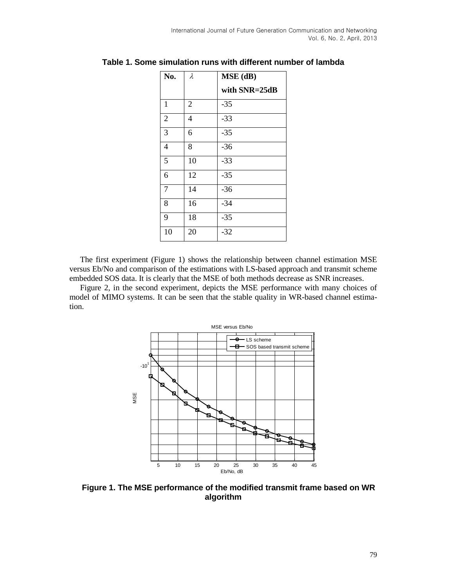| No.            | $\lambda$      | $MSE$ (dB)    |
|----------------|----------------|---------------|
|                |                | with SNR=25dB |
| $\mathbf{1}$   | $\overline{2}$ | $-35$         |
| $\overline{2}$ | 4              | $-33$         |
| 3              | 6              | $-35$         |
| 4              | 8              | $-36$         |
| 5              | 10             | $-33$         |
| 6              | 12             | $-35$         |
| 7              | 14             | $-36$         |
| 8              | 16             | $-34$         |
| 9              | 18             | $-35$         |
| 10             | 20             | $-32$         |

**Table 1. Some simulation runs with different number of lambda**

The first experiment (Figure 1) shows the relationship between channel estimation MSE versus Eb/No and comparison of the estimations with LS-based approach and transmit scheme embedded SOS data. It is clearly that the MSE of both methods decrease as SNR increases.

Figure 2, in the second experiment, depicts the MSE performance with many choices of model of MIMO systems. It can be seen that the stable quality in WR-based channel estimation.



**Figure 1. The MSE performance of the modified transmit frame based on WR algorithm**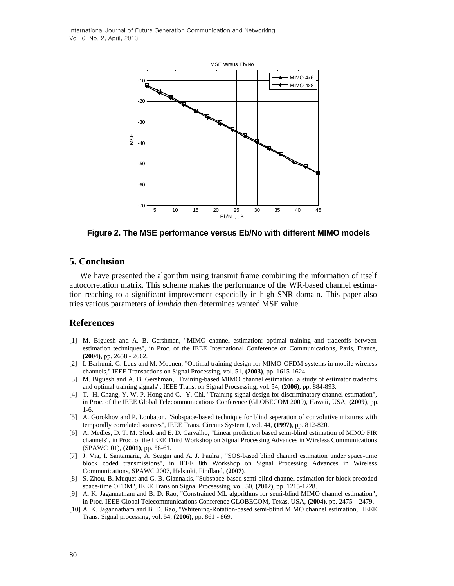

**Figure 2. The MSE performance versus Eb/No with different MIMO models**

# **5. Conclusion**

We have presented the algorithm using transmit frame combining the information of itself autocorrelation matrix. This scheme makes the performance of the WR-based channel estimation reaching to a significant improvement especially in high SNR domain. This paper also tries various parameters of *lambda* then determines wanted MSE value.

## **References**

- [1] M. Biguesh and A. B. Gershman, "MIMO channel estimation: optimal training and tradeoffs between estimation techniques", in Proc. of the IEEE International Conference on Communications, Paris, France, **(2004)**, pp. 2658 - 2662.
- [2] I. Barhumi, G. Leus and M. Moonen, "Optimal training design for MIMO-OFDM systems in mobile wireless channels," IEEE Transactions on Signal Processing, vol. 51, **(2003)**, pp. 1615-1624.
- [3] M. Biguesh and A. B. Gershman, "Training-based MIMO channel estimation: a study of estimator tradeoffs and optimal training signals", IEEE Trans. on Signal Procsessing, vol. 54, **(2006)**, pp. 884-893.
- [4] T. -H. Chang, Y. W. P. Hong and C. -Y. Chi, "Training signal design for discriminatory channel estimation", in Proc. of the IEEE Global Telecommunications Conference (GLOBECOM 2009), Hawaii, USA, **(2009)**, pp. 1-6.
- [5] A. Gorokhov and P. Loubaton, "Subspace-based technique for blind seperation of convolutive mixtures with temporally correlated sources", IEEE Trans. Circuits System I, vol. 44, **(1997)**, pp. 812-820.
- [6] A. Medles, D. T. M. Slock and E. D. Carvalho, "Linear prediction based semi-blind estimation of MIMO FIR channels", in Proc. of the IEEE Third Workshop on Signal Processing Advances in Wireless Communications (SPAWC '01), **(2001)**, pp. 58-61.
- [7] J. Via, I. Santamaria, A. Sezgin and A. J. Paulraj, "SOS-based blind channel estimation under space-time block coded transmissions", in IEEE 8th Workshop on Signal Processing Advances in Wireless Communications, SPAWC 2007, Helsinki, Findland, **(2007)**.
- [8] S. Zhou, B. Muquet and G. B. Giannakis, "Subspace-based semi-blind channel estimation for block precoded space-time OFDM", IEEE Trans on Signal Procsessing, vol. 50, **(2002)**, pp. 1215-1228.
- [9] A. K. Jagannatham and B. D. Rao, "Constrained ML algorithms for semi-blind MIMO channel estimation", in Proc. IEEE Global Telecommunications Conference GLOBECOM, Texas, USA, **(2004)**, pp. 2475 – 2479.
- [10] A. K. Jagannatham and B. D. Rao, "Whitening-Rotation-based semi-blind MIMO channel estimation," IEEE Trans. Signal processing, vol. 54, **(2006)**, pp. 861 - 869.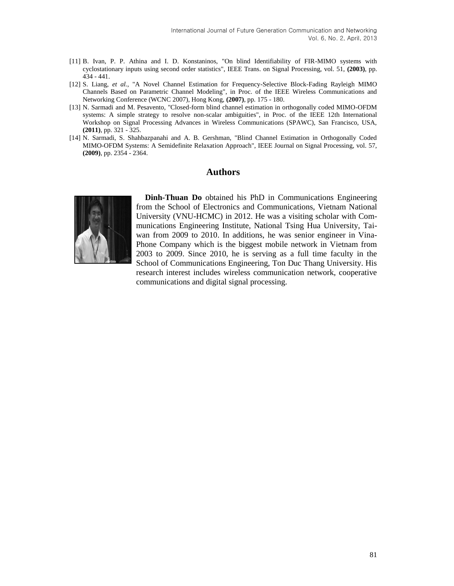- [11] B. Ivan, P. P. Athina and I. D. Konstaninos, "On blind Identifiability of FIR-MIMO systems with cyclostationary inputs using second order statistics", IEEE Trans. on Signal Processing, vol. 51, **(2003)**, pp. 434 - 441.
- [12] S. Liang, *et al.*, "A Novel Channel Estimation for Frequency-Selective Block-Fading Rayleigh MIMO Channels Based on Parametric Channel Modeling", in Proc. of the IEEE Wireless Communications and Networking Conference (WCNC 2007), Hong Kong, **(2007)**, pp. 175 - 180.
- [13] N. Sarmadi and M. Pesavento, "Closed-form blind channel estimation in orthogonally coded MIMO-OFDM systems: A simple strategy to resolve non-scalar ambiguities", in Proc. of the IEEE 12th International Workshop on Signal Processing Advances in Wireless Communications (SPAWC), San Francisco, USA, **(2011)**, pp. 321 - 325.
- [14] N. Sarmadi, S. Shahbazpanahi and A. B. Gershman, "Blind Channel Estimation in Orthogonally Coded MIMO-OFDM Systems: A Semidefinite Relaxation Approach", IEEE Journal on Signal Processing, vol. 57, **(2009)**, pp. 2354 - 2364.

## **Authors**



**Dinh-Thuan Do** obtained his PhD in Communications Engineering from the School of Electronics and Communications, Vietnam National University (VNU-HCMC) in 2012. He was a visiting scholar with Communications Engineering Institute, National Tsing Hua University, Taiwan from 2009 to 2010. In additions, he was senior engineer in Vina-Phone Company which is the biggest mobile network in Vietnam from 2003 to 2009. Since 2010, he is serving as a full time faculty in the School of Communications Engineering, Ton Duc Thang University. His research interest includes wireless communication network, cooperative communications and digital signal processing.